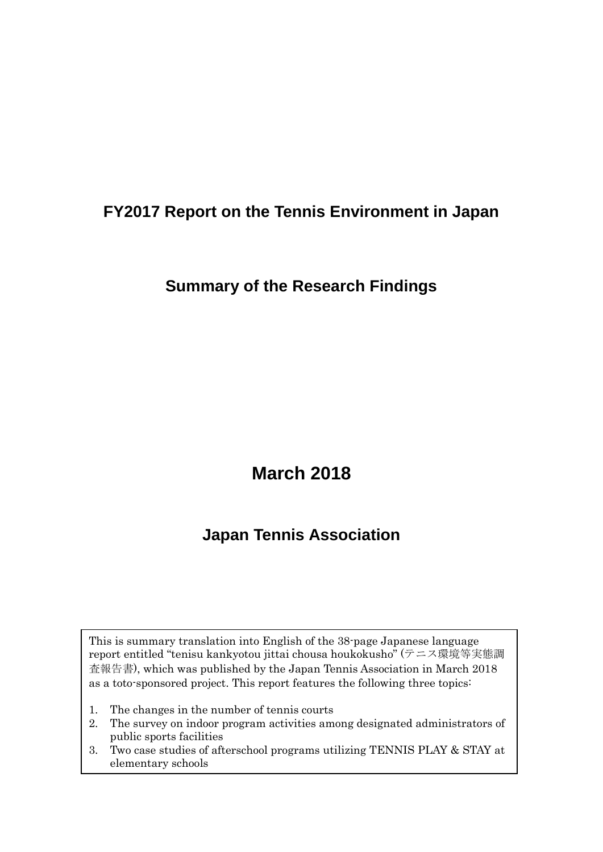### **FY2017 Report on the Tennis Environment in Japan**

### **Summary of the Research Findings**

# **March 2018**

## **Japan Tennis Association**

This is summary translation into English of the 38-page Japanese language report entitled "tenisu kankyotou jittai chousa houkokusho" (テニス環境等実態調 査報告書), which was published by the Japan Tennis Association in March 2018 as a toto-sponsored project. This report features the following three topics:

- 1. The changes in the number of tennis courts
- 2. The survey on indoor program activities among designated administrators of public sports facilities
- 3. Two case studies of afterschool programs utilizing TENNIS PLAY & STAY at elementary schools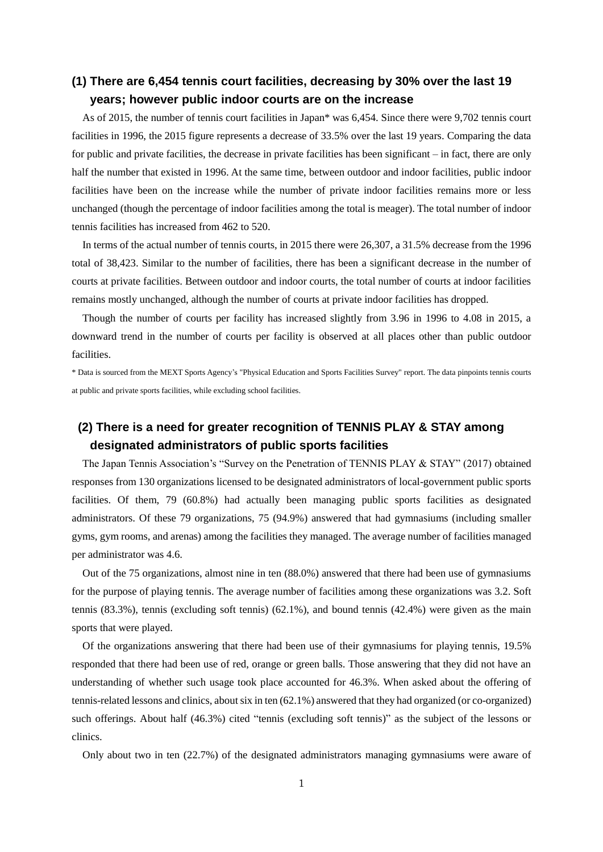#### **(1) There are 6,454 tennis court facilities, decreasing by 30% over the last 19 years; however public indoor courts are on the increase**

As of 2015, the number of tennis court facilities in Japan\* was 6,454. Since there were 9,702 tennis court facilities in 1996, the 2015 figure represents a decrease of 33.5% over the last 19 years. Comparing the data for public and private facilities, the decrease in private facilities has been significant – in fact, there are only half the number that existed in 1996. At the same time, between outdoor and indoor facilities, public indoor facilities have been on the increase while the number of private indoor facilities remains more or less unchanged (though the percentage of indoor facilities among the total is meager). The total number of indoor tennis facilities has increased from 462 to 520.

In terms of the actual number of tennis courts, in 2015 there were 26,307, a 31.5% decrease from the 1996 total of 38,423. Similar to the number of facilities, there has been a significant decrease in the number of courts at private facilities. Between outdoor and indoor courts, the total number of courts at indoor facilities remains mostly unchanged, although the number of courts at private indoor facilities has dropped.

Though the number of courts per facility has increased slightly from 3.96 in 1996 to 4.08 in 2015, a downward trend in the number of courts per facility is observed at all places other than public outdoor facilities.

\* Data is sourced from the MEXT Sports Agency's "Physical Education and Sports Facilities Survey" report. The data pinpoints tennis courts at public and private sports facilities, while excluding school facilities.

#### **(2) There is a need for greater recognition of TENNIS PLAY & STAY among designated administrators of public sports facilities**

The Japan Tennis Association's "Survey on the Penetration of TENNIS PLAY & STAY" (2017) obtained responses from 130 organizations licensed to be designated administrators of local-government public sports facilities. Of them, 79 (60.8%) had actually been managing public sports facilities as designated administrators. Of these 79 organizations, 75 (94.9%) answered that had gymnasiums (including smaller gyms, gym rooms, and arenas) among the facilities they managed. The average number of facilities managed per administrator was 4.6.

Out of the 75 organizations, almost nine in ten (88.0%) answered that there had been use of gymnasiums for the purpose of playing tennis. The average number of facilities among these organizations was 3.2. Soft tennis (83.3%), tennis (excluding soft tennis) (62.1%), and bound tennis (42.4%) were given as the main sports that were played.

Of the organizations answering that there had been use of their gymnasiums for playing tennis, 19.5% responded that there had been use of red, orange or green balls. Those answering that they did not have an understanding of whether such usage took place accounted for 46.3%. When asked about the offering of tennis-related lessons and clinics, about six in ten (62.1%) answered that they had organized (or co-organized) such offerings. About half (46.3%) cited "tennis (excluding soft tennis)" as the subject of the lessons or clinics.

Only about two in ten (22.7%) of the designated administrators managing gymnasiums were aware of